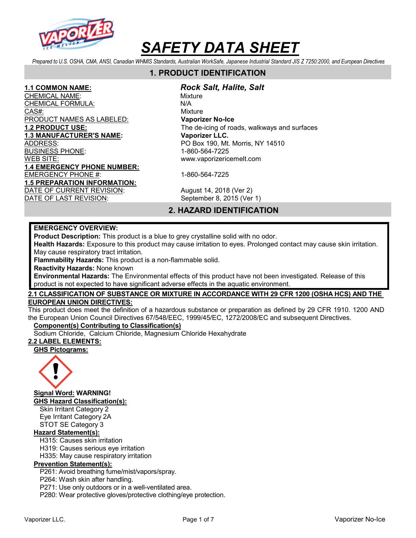

Prepared to U.S. OSHA, CMA, ANSI, Canadian WHMIS Standards, Australian WorkSafe, Japanese Industrial Standard JIS Z 7250:2000, and European Directives

# 1. PRODUCT IDENTIFICATION

CHEMICAL NAME: We are also assessed to the Mixture CHEMI<u>CAL FORMULA:</u> N/A CAS#: CAS CONSINUES AND CONSINUES AND MIXTURE PRODUCT NAMES AS LABELED: Vaporizer No-Ice 1.3 MANUFACTURER'S NAME: Vaporizer LLC. ADDRESS: PO Box 190, Mt. Morris, NY 14510 BUSINESS PHONE: 1-860-564-7225 WEB SITE: www.vaporizericemelt.com 1.4 EMERGENCY PHONE NUMBER: EMERGENCY PHONE #: 1-860-564-7225 1.5 PREPARATION INFORMATION: DATE OF CURRENT REVISION: August 14, 2018 (Ver 2)

#### 1.1 COMMON NAME: Rock Salt, Halite, Salt

1.2 PRODUCT USE: The de-icing of roads, walkways and surfaces

DATE OF LAST REVISION: September 8, 2015 (Ver 1)

# 2. HAZARD IDENTIFICATION

#### EMERGENCY OVERVIEW:

Product Description: This product is a blue to grey crystalline solid with no odor.

Health Hazards: Exposure to this product may cause irritation to eyes. Prolonged contact may cause skin irritation. May cause respiratory tract irritation.

Flammability Hazards: This product is a non-flammable solid.

Reactivity Hazards: None known

Environmental Hazards: The Environmental effects of this product have not been investigated. Release of this product is not expected to have significant adverse effects in the aquatic environment.

### 2.1 CLASSIFICATION OF SUBSTANCE OR MIXTURE IN ACCORDANCE WITH 29 CFR 1200 (OSHA HCS) AND THE EUROPEAN UNION DIRECTIVES:

This product does meet the definition of a hazardous substance or preparation as defined by 29 CFR 1910. 1200 AND the European Union Council Directives 67/548/EEC, 1999/45/EC, 1272/2008/EC and subsequent Directives.

# Component(s) Contributing to Classification(s)

Sodium Chloride, Calcium Chloride, Magnesium Chloride Hexahydrate

# 2.2 LABEL ELEMENTS:

GHS Pictograms:



Signal Word: WARNING!

GHS Hazard Classification(s):

Skin Irritant Category 2 Eye Irritant Category 2A STOT SE Category 3

# Hazard Statement(s):

H315: Causes skin irritation

H319: Causes serious eye irritation

H335: May cause respiratory irritation

# Prevention Statement(s):

P261: Avoid breathing fume/mist/vapors/spray.

P264: Wash skin after handling.

P271: Use only outdoors or in a well-ventilated area.

P280: Wear protective gloves/protective clothing/eye protection.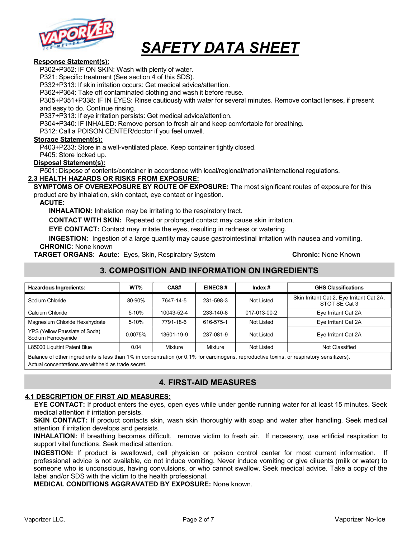

#### Response Statement(s):

P302+P352: IF ON SKIN: Wash with plenty of water.

P321: Specific treatment (See section 4 of this SDS).

P332+P313: If skin irritation occurs: Get medical advice/attention.

P362+P364: Take off contaminated clothing and wash it before reuse.

P305+P351+P338: IF IN EYES: Rinse cautiously with water for several minutes. Remove contact lenses, if present and easy to do. Continue rinsing.

P337+P313: If eye irritation persists: Get medical advice/attention.

P304+P340: IF INHALED: Remove person to fresh air and keep comfortable for breathing.

P312: Call a POISON CENTER/doctor if you feel unwell.

#### Storage Statement(s):

P403+P233: Store in a well-ventilated place. Keep container tightly closed.

P405: Store locked up.

#### Disposal Statement(s):

P501: Dispose of contents/container in accordance with local/regional/national/international regulations.

#### 2.3 HEALTH HAZARDS OR RISKS FROM EXPOSURE:

SYMPTOMS OF OVEREXPOSURE BY ROUTE OF EXPOSURE: The most significant routes of exposure for this product are by inhalation, skin contact, eye contact or ingestion.

#### ACUTE:

INHALATION: Inhalation may be irritating to the respiratory tract.

CONTACT WITH SKIN: Repeated or prolonged contact may cause skin irritation.

EYE CONTACT: Contact may irritate the eyes, resulting in redness or watering.

INGESTION: Ingestion of a large quantity may cause gastrointestinal irritation with nausea and vomiting. CHRONIC: None known

**TARGET ORGANS: Acute:** Eyes, Skin, Respiratory System **Chronic: None Known** Chronic: None Known

# 3. COMPOSITION AND INFORMATION ON INGREDIENTS

| <b>Hazardous Ingredients:</b>                                                                                                             | WT%     | CAS#       | <b>EINECS#</b> | Index $#$    | <b>GHS Classifications</b>                                 |
|-------------------------------------------------------------------------------------------------------------------------------------------|---------|------------|----------------|--------------|------------------------------------------------------------|
| Sodium Chloride                                                                                                                           | 80-90%  | 7647-14-5  | 231-598-3      | Not Listed   | Skin Irritant Cat 2, Eye Irritant Cat 2A,<br>STOT SE Cat 3 |
| Calcium Chloride                                                                                                                          | 5-10%   | 10043-52-4 | 233-140-8      | 017-013-00-2 | Eye Irritant Cat 2A                                        |
| Magnesium Chloride Hexahydrate                                                                                                            | 5-10%   | 7791-18-6  | 616-575-1      | Not Listed   | Eye Irritant Cat 2A                                        |
| YPS (Yellow Prussiate of Soda)<br>Sodium Ferrocyanide                                                                                     | 0.0075% | 13601-19-9 | 237-081-9      | Not Listed   | Eye Irritant Cat 2A                                        |
| L85000 Liquitint Patent Blue                                                                                                              | 0.04    | Mixture    | Mixture        | Not Listed   | Not Classified                                             |
| Relation of other ingredients is less than 1% in concentration (or 0.1% for carsinogens, reproductive texting or respiratory sensitizers) |         |            |                |              |                                                            |

Balance of other ingredients is less than 1% in concentration (or 0.1% for carcinogens, reproductive toxins, or respiratory sensitizers). Actual concentrations are withheld as trade secret.

# 4. FIRST-AID MEASURES

#### 4.1 DESCRIPTION OF FIRST AID MEASURES:

EYE CONTACT: If product enters the eyes, open eyes while under gentle running water for at least 15 minutes. Seek medical attention if irritation persists.

SKIN CONTACT: If product contacts skin, wash skin thoroughly with soap and water after handling. Seek medical attention if irritation develops and persists.

INHALATION: If breathing becomes difficult, remove victim to fresh air. If necessary, use artificial respiration to support vital functions. Seek medical attention.

INGESTION: If product is swallowed, call physician or poison control center for most current information. If professional advice is not available, do not induce vomiting. Never induce vomiting or give diluents (milk or water) to someone who is unconscious, having convulsions, or who cannot swallow. Seek medical advice. Take a copy of the label and/or SDS with the victim to the health professional.

MEDICAL CONDITIONS AGGRAVATED BY EXPOSURE: None known.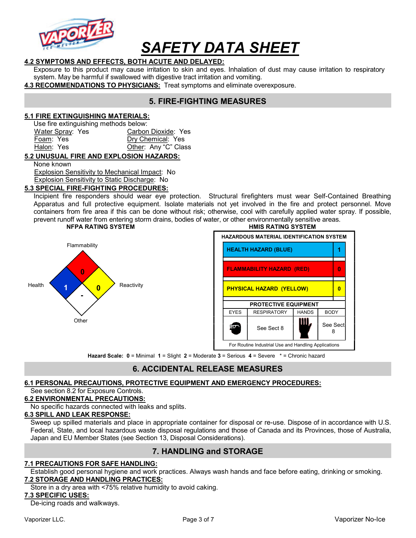

### 4.2 SYMPTOMS AND EFFECTS, BOTH ACUTE AND DELAYED:

Exposure to this product may cause irritation to skin and eyes. Inhalation of dust may cause irritation to respiratory system. May be harmful if swallowed with digestive tract irritation and vomiting.

4.3 RECOMMENDATIONS TO PHYSICIANS: Treat symptoms and eliminate overexposure.

# 5. FIRE-FIGHTING MEASURES

#### 5.1 FIRE EXTINGUISHING MATERIALS:

Use fire extinguishing methods below:

| Water Spray: Yes | Carbon Dioxide: Yes  |
|------------------|----------------------|
| Foam: Yes        | Dry Chemical: Yes    |
| Halon: Yes       | Other: Any "C" Class |

#### 5.2 UNUSUAL FIRE AND EXPLOSION HAZARDS:

None known

 Explosion Sensitivity to Mechanical Impact: No Explosion Sensitivity to Static Discharge: No

5.3 SPECIAL FIRE-FIGHTING PROCEDURES:

Incipient fire responders should wear eye protection. Structural firefighters must wear Self-Contained Breathing Apparatus and full protective equipment. Isolate materials not yet involved in the fire and protect personnel. Move containers from fire area if this can be done without risk; otherwise, cool with carefully applied water spray. If possible, prevent runoff water from entering storm drains, bodies of water, or other environmentally sensitive areas.





Hazard Scale: 0 = Minimal 1 = Slight 2 = Moderate 3 = Serious 4 = Severe \* = Chronic hazard

# 6. ACCIDENTAL RELEASE MEASURES

# 6.1 PERSONAL PRECAUTIONS, PROTECTIVE EQUIPMENT AND EMERGENCY PROCEDURES:

#### See section 8.2 for Exposure Controls.

#### 6.2 ENVIRONMENTAL PRECAUTIONS:

No specific hazards connected with leaks and splits.

#### 6.3 SPILL AND LEAK RESPONSE:

Sweep up spilled materials and place in appropriate container for disposal or re-use. Dispose of in accordance with U.S. Federal, State, and local hazardous waste disposal regulations and those of Canada and its Provinces, those of Australia, Japan and EU Member States (see Section 13, Disposal Considerations).

# 7. HANDLING and STORAGE

#### 7.1 PRECAUTIONS FOR SAFE HANDLING:

Establish good personal hygiene and work practices. Always wash hands and face before eating, drinking or smoking. 7.2 STORAGE AND HANDLING PRACTICES:

Store in a dry area with <75% relative humidity to avoid caking.

#### 7.3 SPECIFIC USES:

De-icing roads and walkways.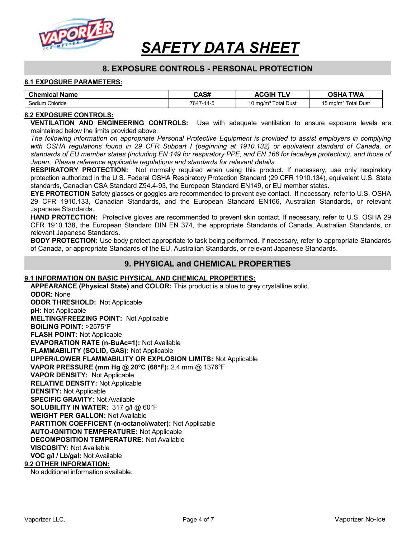

# 8. EXPOSURE CONTROLS - PERSONAL PROTECTION

#### 8.1 EXPOSURE PARAMETERS:

| <b>Chemical Name</b> | CAS#      | <b>ACGIH</b><br><b>TLV</b>      | OSHA TWA                        |
|----------------------|-----------|---------------------------------|---------------------------------|
| Sodium Chloride      | 7647-14-5 | 10 mg/m <sup>3</sup> Total Dust | 15 mg/m <sup>3</sup> Total Dust |

#### 8.2 EXPOSURE CONTROLS:

VENTILATION AND ENGINEERING CONTROLS: Use with adequate ventilation to ensure exposure levels are maintained below the limits provided above.

The following information on appropriate Personal Protective Equipment is provided to assist employers in complying with OSHA regulations found in 29 CFR Subpart I (beginning at 1910.132) or equivalent standard of Canada, or standards of EU member states (including EN 149 for respiratory PPE, and EN 166 for face/eye protection), and those of Japan. Please reference applicable regulations and standards for relevant details.

RESPIRATORY PROTECTION: Not normally required when using this product. If necessary, use only respiratory protection authorized in the U.S. Federal OSHA Respiratory Protection Standard (29 CFR 1910.134), equivalent U.S. State standards, Canadian CSA Standard Z94.4-93, the European Standard EN149, or EU member states.

EYE PROTECTION Safety glasses or goggles are recommended to prevent eye contact. If necessary, refer to U.S. OSHA 29 CFR 1910.133, Canadian Standards, and the European Standard EN166, Australian Standards, or relevant Japanese Standards.

HAND PROTECTION: Protective gloves are recommended to prevent skin contact. If necessary, refer to U.S. OSHA 29 CFR 1910.138, the European Standard DIN EN 374, the appropriate Standards of Canada, Australian Standards, or relevant Japanese Standards.

BODY PROTECTION: Use body protect appropriate to task being performed. If necessary, refer to appropriate Standards of Canada, or appropriate Standards of the EU, Australian Standards, or relevant Japanese Standards.

### 9. PHYSICAL and CHEMICAL PROPERTIES

#### 9.1 INFORMATION ON BASIC PHYSICAL AND CHEMICAL PROPERTIES:

APPEARANCE (Physical State) and COLOR: This product is a blue to grey crystalline solid. ODOR: None ODOR THRESHOLD: Not Applicable pH: Not Applicable MELTING/FREEZING POINT: Not Applicable BOILING POINT: >2575°F FLASH POINT: Not Applicable EVAPORATION RATE (n-BuAc=1): Not Available FLAMMABILITY (SOLID, GAS): Not Applicable UPPER/LOWER FLAMMABILITY OR EXPLOSION LIMITS: Not Applicable VAPOR PRESSURE (mm Hg @ 20°C (68F): 2.4 mm @ 1376°F VAPOR DENSITY: Not Applicable RELATIVE DENSITY: Not Applicable DENSITY: Not Applicable SPECIFIC GRAVITY: Not Available SOLUBILITY IN WATER: 317 g/l @ 60°F WEIGHT PER GALLON: Not Available PARTITION COEFFICENT (n-octanol/water): Not Applicable AUTO-IGNITION TEMPERATURE: Not Applicable DECOMPOSITION TEMPERATURE: Not Available VISCOSITY: Not Available VOC g/l / Lb/gal: Not Available 9.2 OTHER INFORMATION:

No additional information available.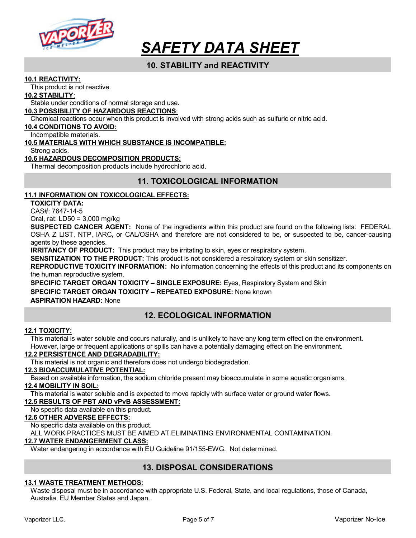

# 10. STABILITY and REACTIVITY

#### 10.1 REACTIVITY:

This product is not reactive.

#### 10.2 STABILITY:

Stable under conditions of normal storage and use.

#### 10.3 POSSIBILITY OF HAZARDOUS REACTIONS:

Chemical reactions occur when this product is involved with strong acids such as sulfuric or nitric acid.

#### 10.4 CONDITIONS TO AVOID:

Incompatible materials.

#### 10.5 MATERIALS WITH WHICH SUBSTANCE IS INCOMPATIBLE:

Strong acids.

#### 10.6 HAZARDOUS DECOMPOSITION PRODUCTS:

Thermal decomposition products include hydrochloric acid.

# 11. TOXICOLOGICAL INFORMATION

#### 11.1 INFORMATION ON TOXICOLOGICAL EFFECTS:

TOXICITY DATA:

CAS#: 7647-14-5

Oral, rat: LD50 = 3,000 mg/kg

SUSPECTED CANCER AGENT: None of the ingredients within this product are found on the following lists: FEDERAL OSHA Z LIST, NTP, IARC, or CAL/OSHA and therefore are not considered to be, or suspected to be, cancer-causing agents by these agencies.

**IRRITANCY OF PRODUCT:** This product may be irritating to skin, eyes or respiratory system.

SENSITIZATION TO THE PRODUCT: This product is not considered a respiratory system or skin sensitizer.

REPRODUCTIVE TOXICITY INFORMATION: No information concerning the effects of this product and its components on the human reproductive system.

SPECIFIC TARGET ORGAN TOXICITY – SINGLE EXPOSURE: Eyes, Respiratory System and Skin SPECIFIC TARGET ORGAN TOXICITY - REPEATED EXPOSURE: None known ASPIRATION HAZARD: None

# 12. ECOLOGICAL INFORMATION

#### 12.1 TOXICITY:

This material is water soluble and occurs naturally, and is unlikely to have any long term effect on the environment. However, large or frequent applications or spills can have a potentially damaging effect on the environment.

### 12.2 PERSISTENCE AND DEGRADABILITY:

This material is not organic and therefore does not undergo biodegradation.

### 12.3 BIOACCUMULATIVE POTENTIAL:

Based on available information, the sodium chloride present may bioaccumulate in some aquatic organisms.

### 12.4 MOBILITY IN SOIL:

This material is water soluble and is expected to move rapidly with surface water or ground water flows.

#### 12.5 RESULTS OF PBT AND vPvB ASSESSMENT:

No specific data available on this product.

#### 12.6 OTHER ADVERSE EFFECTS:

No specific data available on this product.

ALL WORK PRACTICES MUST BE AIMED AT ELIMINATING ENVIRONMENTAL CONTAMINATION.

### 12.7 WATER ENDANGERMENT CLASS:

Water endangering in accordance with EU Guideline 91/155-EWG. Not determined.

# 13. DISPOSAL CONSIDERATIONS

#### 13.1 WASTE TREATMENT METHODS:

Waste disposal must be in accordance with appropriate U.S. Federal, State, and local regulations, those of Canada, Australia, EU Member States and Japan.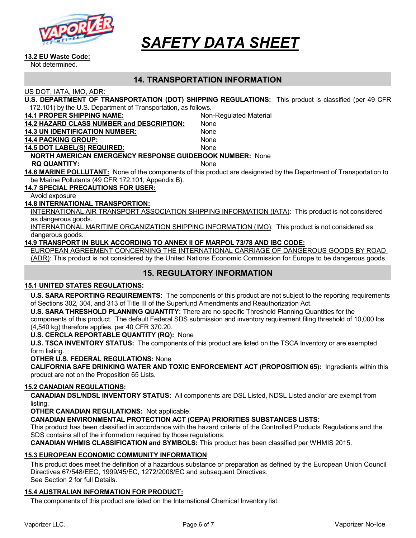

#### 13.2 EU Waste Code:

Not determined.

### 14. TRANSPORTATION INFORMATION

US DOT, IATA, IMO, ADR:

| U.S. DEPARTMENT OF TRANSPORTATION (DOT) SHIPPING REGULATIONS: This product is classified (per 49 CFR |  |
|------------------------------------------------------------------------------------------------------|--|
| 172.101) by the U.S. Department of Transportation, as follows.                                       |  |

| IZ. IVIT by the U.S. Department of Transportation, as follows.  |                                                                                                                     |  |
|-----------------------------------------------------------------|---------------------------------------------------------------------------------------------------------------------|--|
| <b>14.1 PROPER SHIPPING NAME:</b>                               | Non-Regulated Material                                                                                              |  |
| <b>14.2 HAZARD CLASS NUMBER and DESCRIPTION:</b>                | None                                                                                                                |  |
| <b>14.3 UN IDENTIFICATION NUMBER:</b>                           | None                                                                                                                |  |
| <b>14.4 PACKING GROUP:</b>                                      | None                                                                                                                |  |
| <b>14.5 DOT LABEL(S) REQUIRED:</b>                              | None                                                                                                                |  |
| <b>NORTH AMERICAN EMERGENCY RESPONSE GUIDEBOOK NUMBER: None</b> |                                                                                                                     |  |
| <b>RQ QUANTITY:</b>                                             | <b>None</b>                                                                                                         |  |
|                                                                 | 14.6 MARINE POLLUTANT: None of the components of this product are designated by the Department of Transportation to |  |
| be Marine Pollutants (49 CFR 172.101, Appendix B).              |                                                                                                                     |  |
| <b>14.7 SPECIAL PRECAUTIONS FOR USER:</b>                       |                                                                                                                     |  |
|                                                                 |                                                                                                                     |  |

Avoid exposure

#### 14.8 INTERNATIONAL TRANSPORTION:

INTERNATIONAL AIR TRANSPORT ASSOCIATION SHIPPING INFORMATION (IATA): This product is not considered as dangerous goods.

INTERNATIONAL MARITIME ORGANIZATION SHIPPING INFORMATION (IMO): This product is not considered as dangerous goods.

#### 14.9 TRANSPORT IN BULK ACCORDING TO ANNEX II OF MARPOL 73/78 AND IBC CODE:

EUROPEAN AGREEMENT CONCERNING THE INTERNATIONAL CARRIAGE OF DANGEROUS GOODS BY ROAD (ADR): This product is not considered by the United Nations Economic Commission for Europe to be dangerous goods.

# 15. REGULATORY INFORMATION

#### 15.1 UNITED STATES REGULATIONS:

U.S. SARA REPORTING REQUIREMENTS: The components of this product are not subject to the reporting requirements of Sections 302, 304, and 313 of Title III of the Superfund Amendments and Reauthorization Act.

U.S. SARA THRESHOLD PLANNING QUANTITY: There are no specific Threshold Planning Quantities for the components of this product. The default Federal SDS submission and inventory requirement filing threshold of 10,000 lbs (4,540 kg) therefore applies, per 40 CFR 370.20.

#### U.S. CERCLA REPORTABLE QUANTITY (RQ): None

U.S. TSCA INVENTORY STATUS: The components of this product are listed on the TSCA Inventory or are exempted form listing.

#### OTHER U.S. FEDERAL REGULATIONS: None

CALIFORNIA SAFE DRINKING WATER AND TOXIC ENFORCEMENT ACT (PROPOSITION 65): Ingredients within this product are not on the Proposition 65 Lists.

#### 15.2 CANADIAN REGULATIONS:

CANADIAN DSL/NDSL INVENTORY STATUS: All components are DSL Listed, NDSL Listed and/or are exempt from listing.

OTHER CANADIAN REGULATIONS: Not applicable.

CANADIAN ENVIRONMENTAL PROTECTION ACT (CEPA) PRIORITIES SUBSTANCES LISTS:

This product has been classified in accordance with the hazard criteria of the Controlled Products Regulations and the SDS contains all of the information required by those regulations.

CANADIAN WHMIS CLASSIFICATION and SYMBOLS: This product has been classified per WHMIS 2015.

#### 15.3 EUROPEAN ECONOMIC COMMUNITY INFORMATION:

This product does meet the definition of a hazardous substance or preparation as defined by the European Union Council Directives 67/548/EEC, 1999/45/EC, 1272/2008/EC and subsequent Directives. See Section 2 for full Details.

#### 15.4 AUSTRALIAN INFORMATION FOR PRODUCT:

The components of this product are listed on the International Chemical Inventory list.